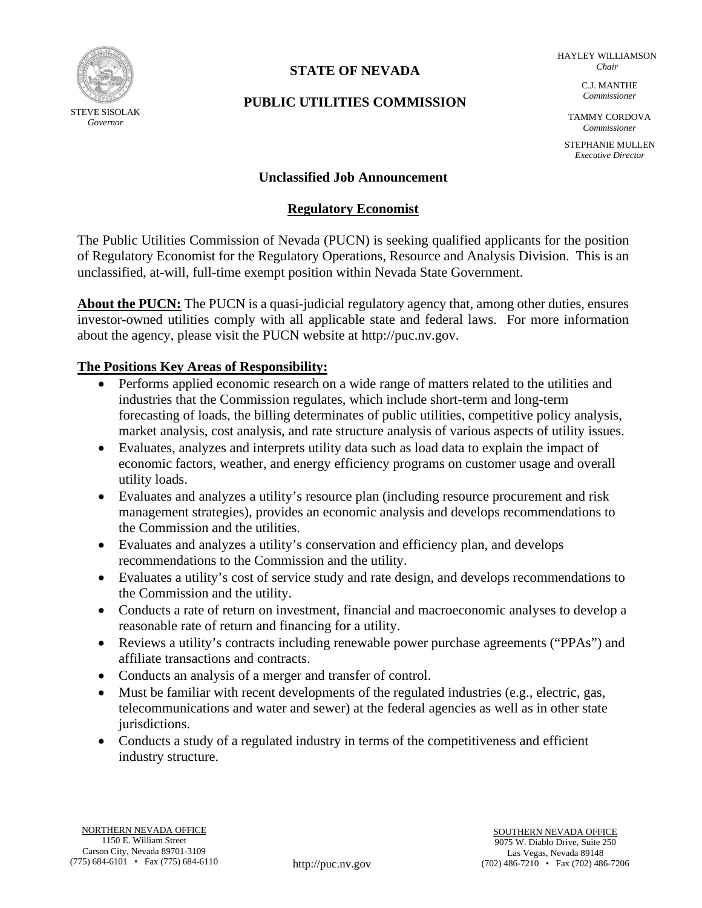

# **STATE OF NEVADA**

HAYLEY WILLIAMSON *Chair*

# **PUBLIC UTILITIES COMMISSION**

C.J. MANTHE *Commissioner*

TAMMY CORDOVA *Commissioner*

STEPHANIE MULLEN *Executive Director*

### **Unclassified Job Announcement**

### **Regulatory Economist**

The Public Utilities Commission of Nevada (PUCN) is seeking qualified applicants for the position of Regulatory Economist for the Regulatory Operations, Resource and Analysis Division. This is an unclassified, at-will, full-time exempt position within Nevada State Government.

**About the PUCN:** The PUCN is a quasi-judicial regulatory agency that, among other duties, ensures investor-owned utilities comply with all applicable state and federal laws. For more information about the agency, please visit the PUCN website at http://puc.nv.gov.

### **The Positions Key Areas of Responsibility:**

- Performs applied economic research on a wide range of matters related to the utilities and industries that the Commission regulates, which include short-term and long-term forecasting of loads, the billing determinates of public utilities, competitive policy analysis, market analysis, cost analysis, and rate structure analysis of various aspects of utility issues.
- Evaluates, analyzes and interprets utility data such as load data to explain the impact of economic factors, weather, and energy efficiency programs on customer usage and overall utility loads.
- Evaluates and analyzes a utility's resource plan (including resource procurement and risk management strategies), provides an economic analysis and develops recommendations to the Commission and the utilities.
- Evaluates and analyzes a utility's conservation and efficiency plan, and develops recommendations to the Commission and the utility.
- Evaluates a utility's cost of service study and rate design, and develops recommendations to the Commission and the utility.
- Conducts a rate of return on investment, financial and macroeconomic analyses to develop a reasonable rate of return and financing for a utility.
- Reviews a utility's contracts including renewable power purchase agreements ("PPAs") and affiliate transactions and contracts.
- Conducts an analysis of a merger and transfer of control.
- Must be familiar with recent developments of the regulated industries (e.g., electric, gas, telecommunications and water and sewer) at the federal agencies as well as in other state jurisdictions.
- Conducts a study of a regulated industry in terms of the competitiveness and efficient industry structure.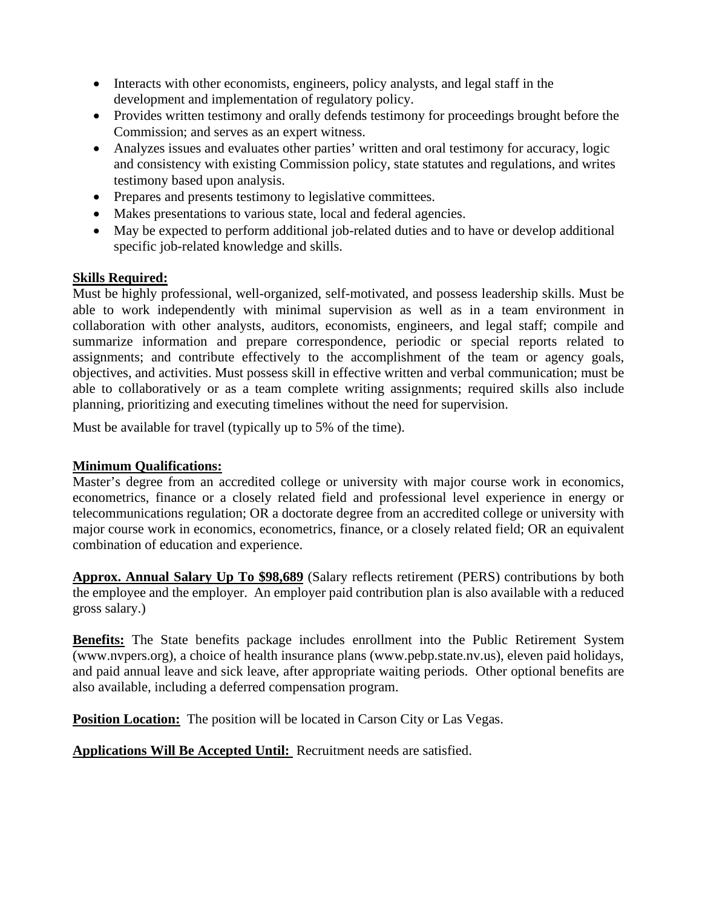- Interacts with other economists, engineers, policy analysts, and legal staff in the development and implementation of regulatory policy.
- Provides written testimony and orally defends testimony for proceedings brought before the Commission; and serves as an expert witness.
- Analyzes issues and evaluates other parties' written and oral testimony for accuracy, logic and consistency with existing Commission policy, state statutes and regulations, and writes testimony based upon analysis.
- Prepares and presents testimony to legislative committees.
- Makes presentations to various state, local and federal agencies.
- May be expected to perform additional job-related duties and to have or develop additional specific job-related knowledge and skills.

## **Skills Required:**

Must be highly professional, well-organized, self-motivated, and possess leadership skills. Must be able to work independently with minimal supervision as well as in a team environment in collaboration with other analysts, auditors, economists, engineers, and legal staff; compile and summarize information and prepare correspondence, periodic or special reports related to assignments; and contribute effectively to the accomplishment of the team or agency goals, objectives, and activities. Must possess skill in effective written and verbal communication; must be able to collaboratively or as a team complete writing assignments; required skills also include planning, prioritizing and executing timelines without the need for supervision.

Must be available for travel (typically up to 5% of the time).

## **Minimum Qualifications:**

Master's degree from an accredited college or university with major course work in economics, econometrics, finance or a closely related field and professional level experience in energy or telecommunications regulation; OR a doctorate degree from an accredited college or university with major course work in economics, econometrics, finance, or a closely related field; OR an equivalent combination of education and experience.

**Approx. Annual Salary Up To \$98,689** (Salary reflects retirement (PERS) contributions by both the employee and the employer. An employer paid contribution plan is also available with a reduced gross salary.)

**Benefits:** The State benefits package includes enrollment into the Public Retirement System (www.nvpers.org), a choice of health insurance plans (www.pebp.state.nv.us), eleven paid holidays, and paid annual leave and sick leave, after appropriate waiting periods. Other optional benefits are also available, including a deferred compensation program.

**Position Location:** The position will be located in Carson City or Las Vegas.

**Applications Will Be Accepted Until:** Recruitment needs are satisfied.